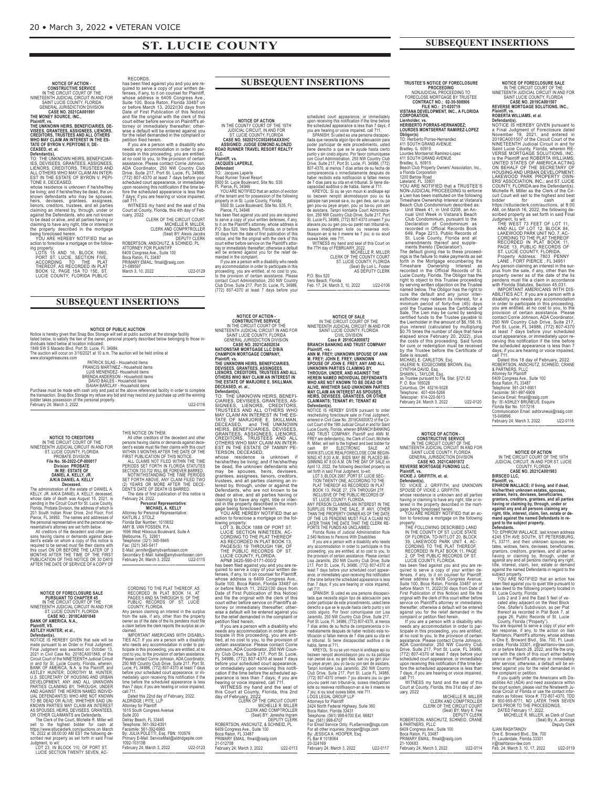# **ST. LUCIE COUNTY**

**NOTICE OF ACTION -<br>CONSTRUCTIVE SERVICE<br>IN THE CIRCUIT COURT OF THE<br>NINETENTH JUDICIAL CIRCUIT IN AND FOR<br>SAINT LUCIE COUNTY, FLORIDA<br>GENERAL JURISDICTION DIVISION<br>CASE NO. 2021CA001991<br>THE MONEY SOURCE, INC.,** 

Plaintiff, vs.<br>The UNKNOWN HEIRS, BENEFICIARIES, DE-VISEES, GRANTEES, ASSIGNEES, LIENORS,<br>VISEES, GRANTEES, ASSIGNEES, LIENORS,<br>WHO MAY CLAIM AN INTEREST IN THE ES-<br>VIFO MAY CLAIM AN INTEREST IN THE ES-<br>DERSED, et al.<br>DEFI

be living; and if he/she/they be dead, the un-<br>known defendants who may be spouses,<br>heirs, devisees, grantees, assignees,<br>lienors, creditors, trustees, and all parties,<br>claiming an interest by, through, under or<br>against th the property described in the mortgage<br>being foreclosed herein.<br>YOU ARE HEREBY NOTIFIED that an<br>action to foreclose a mortgage on the follow-<br>ing property:

LOTS 15 AND 16, BLOCK 1660,<br>PORT ST. LUCIE, SECTION FIVE,<br>ACCORDING TO THE PLAT<br>THEREOF, AS RECORDED IN PLAT<br>BOOK 12, PAGE 15A TO 15E, ST.<br>BOOK 12, PAGE 15A TO 15E, ST.<br>LUCIE COUNTY, FLORIDA PUBLIC

RECORDS.<br>
RECORDS.<br>
Nas been filed against you and you are re-<br>
haise hen filed against you and you are re-<br>
femses, if any, to it on counsel for Plaintiff,<br>
whose address is 6409 Congress Ave.,<br>
Suite 100, Boca Raton, Flo

Court at County, Florida, this 4th day of Feb-ruary, 2022

CLERK OF THE CIRCUIT COURT<br>CLERK AND COMPRITROLLER<br>CLERK AND COMPRITROLLER<br>(Seal) BY: Alexis Jacobs<br>PEPUTY CLERK<br>ATTORNEY FOR PLAINTIFF<br>A409 Congress Ave., Suite 100<br>BRIMARY EMAIL: flmail@raslg.com<br>PRIMARY EMAIL: flmail@ra 21-089597 March 3, 10, 2022 U22-0129 <<END\_NOTICE>>

### **SUBSEQUENT INSERTIONS**

**NOTICE OF PUBLIC AUCTION** 

**NOTICE OF PUBLIC AUCTION**<br>Isited below, to satisfy the lise of the owner, personal property described below, to satisfy the lise of the owner, personal property described below belonging to those in-<br>dividuals listed belo

www.storagetreasures.com<br>
FRANCIS MARTINEZ - Household items<br>
EUIS MENEZ - Household items<br>
EUIS MENENDEZ- Household items<br>
BERENDA ANDERSON - Household items<br>
BERENDA ANDERSON - Household items<br>
DAVID BAILES - Household i

THIS NOTICE ON THEM.<br>
SIMOTICE ON THEM.<br>
All other creditors of the decedent and other<br>
persons having claims or demands against dece-<br>
dent's estate must file their claims with this court<br>
FIRST PUBLICATION OF THIS NOTICE

February 24, 2022. **Personal Representative: MICHAEL A. KELLY**

Attorney for Personal Representative:<br>KAITLIN J. STOLZ<br>Florida Bar Number: 1015652<br>AMY B. VAN FOSSEN, P.A.<br>1696 West Hibiscus Boulevard, Suite A<br>Melbourne, FL 32901<br>Melbourne, FL 32901<br>Telephone: (321) 345-5945<br>E-Mail: jen

Secondary E-Mail: katie@amybvanfossen.com February 24; March 3, 2022 U22-0115 <<END\_NOTICE>>

CORDING TO THE PLAT THEREOF, AS<br>
RECORDED IN PLAT BOOK 14, AT<br>
PAGES 5 AND 5A THROUGH 51, OF THE<br>
COUNTY, FLORIDS. OF ST. LUCIE<br>
COUNTY, FLORIDA.<br>
Any person claiming an interest in the surplus<br>
from the sale, if any, othe

claimed.<br>TIES ACT: If you are a person with a disability<br>TIES ACT: If you are a person with a disability<br>who needs any accommodation in order to par-<br>tocost to you, to the provision of certain assistance.<br>Please contact Co

Dated this 22nd day of February, 2022. ALDRIDGE | PITE, LLP Attorney for Plaintiff 1615 South Congress Avenue

Telephone: 561-392-6391 Facsimile: 561-392-6965 By: JULIA POLETTI, Esq. FBN: 100576 Primary E-Mail: ServiceMail@aldridgepite.com 1092-10313B February 24; March 3, 2022 U22-0123 <<END\_NOTICE>>

Suite 200 Delray Beach, FL 33445



KELLY, JR. AIKIA DANIEL A. KELLY, deceased,<br>whose date of death was August 15, 2021, is<br>pending in the Circuit Court for St. Lucie County,<br>Florida, Probate Division, the address of which is<br>201 South Indian River Drive, 2n

# **NOTICE OF FORECLOSURE SALE<br>PURSUANT TO CHAPTER 45<br>IN THE CIRCUIT COURT OF THE<br>NINETEENTH JUDICIAL CIRCUIT IN AND FOR<br>ST. LUCIE COUNTY, FLORIDA<br>CRASE NO. 2018CA001848<br>BANK OF AMERICA, N.A.,**

Plaintiff, VS.<br>ASTLEY HUNTER; et al.,<br>Defendant(s).<br>MOTICE IS HEREBY GIVEN that sale will be<br>made pursuant to an Order or Final Judgment.<br>Final Judgment was awarded on October 13,<br>2021 in Civit Case No. 2018CA001848, of th in and for St. Lucie County, Florida, wherein, and BATLEY HUNTER; DOROTHY M. HUNTER; ADSISTLEY HUNTER; DOROTHY M. HUNTER;<br>DES SECRETARY OF HOUSING AND URBAN<br>DEVELOPMENT; ANY AND ALL UNKNOWN<br>AND AGAINERS CLAIMING BY, THROUG

Lyt = 1<br>Scribed real property as set that<br>Judgment, to wit:<br>LOT 23, IN BLOCK 110, OF PORT ST.<br>LUCIE SECTION TWENTY SEVEN, AC-

### **SUBSEQUENT INSERTIONS**

scheduled court appearance, or immediately<br>supporteceiving this notification if the time before<br>the scheduled appearance is less than 7 days; if<br>the scheduled appearance is less than 7 days; if<br>see hearing or voice impiate

Vero Beach, Florida Feb. 17, 24; March 3, 10, 2022 U22-0106 <<END\_NOTICE>>

**NOTICE OF SALE**<br>IN THE CIRCUIT COURT OF THE<br>NINETEENTH JUDICIAL CIRCUIT IN AND FOR<br>SAINT LUCIE COUNTY, FLORIDA<br>CIVIL DIVISION

**Case #: 2016CA000872 BRANCH BANKING AND TRUST COMPANY**

Plaintiff, -vs.<br>AMIM M. -vs.<br>M. FREY; UNKNOWN SPOUSE OF ANN<br>SPOUSE OF JOHN E. FREY; UNKNOWN<br>JUNKNOWN PARTIES CLAIMING BY,<br>UNKNOWN PARTIES CLAIMING BY,<br>THROUGH, UNDER, AND AGAINST THE<br>MHO ARE NOT KNOWN TO BE DEAD AN<br>MAY CLA

P.O. Box 520

**NOTICE OF ACTION<br>IN THE COUNTY COURT OF THE 19TH<br>IUDICIAL CIRCUIT, IN AND FOR<br>ST. LUCIE COUNTY, FLORIDA<br>CASE NO. 552021CC002495AXXXHC<br>ASSIGNED: JUDIGE EDMOND ALONZO<br>ROAD RUNNER TRAVEL RESORT REALTY** 

**LLC. Plaintiff, vs. JACQUES LAPERLE,**

Defendant<br>To: Jacques Laperle<br>To: Nacques Laperle<br>S500 St. Lucle Boulevard, Site No. S35<br>Ft. Pierce, FL 34946<br>Ft. Pierce, FL 34946<br>of the tenant and for possession of the following<br>property in in St. Lucle County, Florida:

NOTICE OF ACTION -<br>
CONSTRUCTIVE SERVICE<br>
IN THE CIRCUIT COURT OF THE<br>
INTELUCIE COUNTY, FLORIDA<br>
SAINT LUCIE COUNTY, FLORIDA<br>
SENERAL JURISDICTION DIVISION<br>
CASE NO. 2021CA002034<br>
MATIONSTAR MORTGAGE LLO DIBIA<br>
NATIONSTAR

**Plaintiff, vs. THE UNKNOWN HEIRS, BENEFICIARIES,** DEVISEES, GRANTEES, ASSINGEES,<br>LIENORS, CREDITORS, TRUSTEES AND ALL<br>OTHERS WHO MAY CLAIM AN INTEREST IN<br>THE ESTATE OF MARJORIE E. SKILLMAN,

DECEASED, et. al.,<br>Defendant(s),<br>CCARSED, et. al.,<br>TO: THE UNKNOWN HEIRS, BENEFI-<br>TO: THE UNKNOEES, GRANTEES, AS-<br>SIGNEES, DEVISIEES, GRANTEES WHO<br>NAY CLAIM AN INTEREST IN THE ES-<br>TATE OF MARJORIE E. SKILLMAN,<br>DECEASED, an

lowing property:<br>
LOT 3, BLOCK 1888 OF PORT ST.<br>
LUCIE SECTION NINETEEN, AC-<br>
CORDING TO THE PLAT THEREOF<br>
AS RECORDED IN PLAT BOOK 13,<br>
PAGES(S) 19 THROUGH 19K, OF<br>
THE PUBLIC RECORDS OF ST.<br>
LUCIE COUNTY, FLORIDA.<br>
APN#

has been filed against you and you are re-<br>quired to serve a copy of your written de-<br>fenses, if any, to it on counsel for Plaintiff,<br>whose address is 6409. Congress Ave.,<br>Suite 100, Boca Raton, Florida 33487 on<br>or before

The sum are a person with a disability who<br>needs any accommodation in order to particle a in this proceeding, you are entitied, at no cost to you, to the provision of<br>certain assistance. Please contact Corrienter derivatio

<<END\_NOTICE>>

# **TRUSTEE'S NOTICE OF FORECLOSURE<br>MONJUDICIAL PROCEEDING TO<br>FORECLOSE MORTGAGE EN TRUSTEE<br>CONTRACT NO.: 02-30-508906<br>CONTRACT NO.: 02-30-508906<br>VISTANA DEVELOPMENT, INC., A FLORIDA**

**CORPORATION,**

**Lienholder, vs. HERIBERTO PORRAS-HERNANDEZ; LOURDES MONTSERRAT RAMIREZ-LOPEZ**

**Obligor(s)**<br>TO: Heriberto Porras-Hernandez<br>411 SOUTH GRAND AVENUE<br>Bradley, IL 60915<br>Lourdes Montserrat Ramirez-Lopez<br>411 SOUTH GRAND AVENUE

Bradley, IL 60915<br>
Bradley, IL 60915<br>
Bradley, IL 60915<br>
Bradch Club Property Owners' Association, Inc.,<br>
a Florida Corporation<br>
12. Lakeland, FL 33801<br>
YOU ARE NOTIFIED that a TRUSTEE'S<br>
YOU ARE NOTIFIED that a TRUSTEE'S<br>

VALERIE N. EDGECOMBE BROWN, Esq.<br>CYMTHIA DAVID, Esq.<br>SHAWN L. TAYLOR, Esq.<br>as Trustee pursuant to Fla. Stat. §721.82<br>P. O. Box 165028<br>Columbus, OH 43216-5028<br>Telephone: 407-404-5266<br>Telepopier: 614-220-5613<br>February 24;

<<END\_NOTICE>>

NOTICE OF ACTION<br>
CONSTRUCTIVE SERVICE<br>
IN THE CIRCUIT COURT OF THE<br>
INNETENTH JUDICIAL CIRCUIT IN AND FOR<br>
SAINT LUCIE COUNTY, FLORIDA<br>
GENERAL JURISDICTION DIVISION<br> **CENERAL JURISDICTION DIVISION**<br> **REVERSE MORTGAGE FUN** 

# **Plaintiff, vs. VICKIE J. GRIFFITH, et. al.**

**Defendants),**<br>To: VICKIE J. GRIFFITH, and UNKNOWN<br>SPOUSE OF VICKIE J. GRIFFITH,<br>whose residence is unknown and all parties<br>having or claiming to have any right, title or in-<br>terest in the property described in the mort-<br>g

tion to foreclose a mortgage on the following<br>
The ToLLOWING DESCRIBED LAND<br>
THE FOLLOWING DESCRIBED LAND<br>
THE FOLLOWING TO ST. LUCE STATE<br>
39, LAKEWOOD PARK UNIT! 4, AC-<br>
39, LAKEWOOD PARK UNIT! 4, AC-<br>
CORDING TO THE PUB

21-100683 February 24; March 3, 2022 U22-0114 <<END\_NOTICE>>

| MICHELLE R. MILLER                |
|-----------------------------------|
| CLERK AND COMPTROLLER             |
| <b>CLERK OF THE CIRCUIT COURT</b> |
| (Seal) BY: Mary K. Fee            |
| DEPUTY CLERK                      |
| N ANCOUNTZ COUNEIR ODANE          |

ILIAN RASHTANOV One E. Broward Blvd., Ste. 700 Ft. Lauderdale, Florida 33301 ir@rashtanov-law.com<br>Feb. 24; March 3, 10, 17, 2022 U22-0119

<<END\_NOTICE>>

**SUBSEQUENT INSERTIONS**

**NOTICE OF FORECLOSURE SALE<br>IN THE CIRCUIT COURT OF THE<br>TEENTH JUDICIAL CIRCUIT IN AND FOR<br>CASE NO. 2019CAURT (FORIDA<br>CASE NO. 2019CAU110NS, INC.,<br>REVERSE MORTGAGE SOLUTIONS, INC.,** 

Plaintiff, vs.<br>
ROBERTA WILLIAMS, et al.<br>
Defendant(s).<br>
NOTICE IS HEREBY GIVEN pursuant to<br>
NOTICE IS HEREBY GIVEN pursuant to<br>
An a Final Judgment of Foreclosure dated in<br>
An a Final Judgment of Foreclosure dated in<br>
201

& PARTNERS, PLLC Attorney for Plaintiff 6409 Congress Ave., Suite 100 Boca Raton, FL 33487 Telephone: 561-241-6901 Facsimile: 561-997-6909 Service Email: flmail@raslg.com<br>By: \S\ ASHLEY BRUNEUS, Esquire<br>Florida Bar No. 1017216<br>Communication Email: ashbruneus@raslg.com

15-049896 February 24; March 3, 2022 U22-0118

**NOTICE OF ACTION**<br>JUDICIAL CIRCUIT COURT OF THE 19TH<br>JUDICIAL CIRCUIT, IN AND FOR ST. LUCIE<br>COUNTY, FLORIDA<br>**CASE NO. 2021CA001983**<br>**BIRSCEO LLC,** 

Plaintiff, vs.<br>EPHROM WALLACE; if living, and if dead,<br>his/her/their unknown estates, spouses,<br>widows, heirs, devises, beneficiaries,<br>grantors, creditors, grantees, and all parties<br>having or claiming by, through, under or<br>

TO: EPHROM WALLACE, last known address<br>4245 5TH AVE SOUTH, ST PETERSBURG,<br>FL 33711, and their unknown spouses, es-<br>tates, widows, heirs, devisees, beneficiaries,<br>grantors, creditors, grantees, and all parties<br>grantors, cre

YOU ARE NOTIFIED that an action has a coronal department and the following property located in St. Lucie County, Florida:<br>
Lots 2 and 3 and the East 5 feet of vacated ally adjacent on the West Block to the County, Florida:

NOTICE IS HEREBY GIVEN pursuant to order the state and the original to order the state difference of the 19th Judicial Circuit Court Lucie Courty, Florida, wherein BRANCH BANKING Trivit and the Saint Lucie Courty, Florida, Tampri kontakte Lisa Jaramillo, 250 NW Country<br>Club Drive, Suite 217, Port St. Lucie FL 34986<br>(772) 807-4370 omwen 7 jou alavans jou ou genou-ou parel nan tribunal-la, ouswa imedyatman<br>kote ou resewwa notifikasyon-an si ke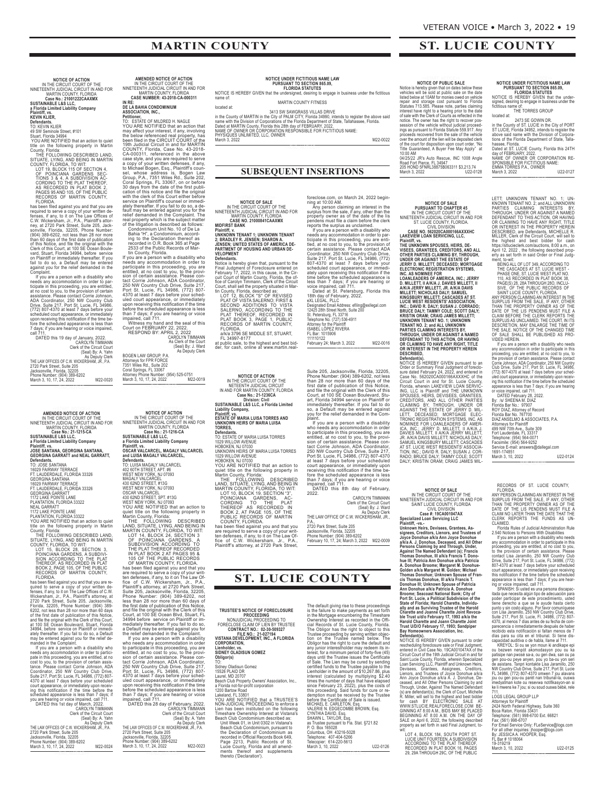**ST. LUCIE COUNTY**

# **MARTIN COUNTY**

# NOTICE OF ACTION<br>INTERNATION COURT OF THE<br>NINETEENTH JUDICIAL CIRCUIT IN AND FOR<br>MARTIN COUNTY, FLORIDA<br>SUSTAINABLE LAS LLC,<br>SUSTAINABLE LAS LLC,<br>A Florida Limited Liability Company<br>Plantiff, vs.<br>PLC INTERNATION COMPANY<br>PL

**Defendants.**<br>TO: KEVIN KLIER<br>49 SW Seminole Street, #101<br>Stuart, Florida 34994<br>YOU ARE NOTIFIED that an action to quiet<br>title on the following property in Martin<br>County, Florida:

THE FOLLOWING DESCRIBED LAND,<br>SITUATE, LYING, AND BEING IN MARTIN<br>COUNTY, FLORIDA, TO WIT:<br>LOT 19, BLOCK 115 OF SECTION 4,<br>OF POINCIANA GARDENS SEC-<br>TIONS 3 & 4, A SUBDIVISION AC-<br>CORDING TO THE PLAT THEREOF,<br>AS RECORDED I

required to serve a copy of your written de-<br>fenses, if any, to it on The Law Offices of<br>C.W. Wickersham, Jr., P.A., Plaintiff's attor-<br>ney, at 2720 Park Street, Suite 205, Jack-<br>sonwille, Florida, 32205, Phone Number.<br>(90

If you are a person with a disability who<br>needs any accommodation in order to par-<br>ticipate in this proceeding, you are entitled,<br>at no cost to you, to the provision of certain<br>assistance. Please contact Corrie Johnson,<br>AD

CAROLYN TIMMANN<br>Clerk of the Circuit Court<br>(Seal) By: A. Yahn<br>THE LAW OFFICES OF C.W. WICKERSHAM, JR., P.A.<br>2720 Park Street, Suite 205<br>Phone Number: (904) 389-6202<br>Phone Number: (904) 389-6202<br>March 3, 10, 17, 24, 2022 M2

<<END\_NOTICE>>

### $\overline{\mathsf{AMENDED}}$  **NOTICE** OF ACTION IN THE CIRCUIT COURT OF THE NINETEENTH JUDICIAL CIRCUIT IN AND FOR

MARTIN COUNTY, FLORIDA<br>Case No.: 21-1215-CA<br>SUSTAINABLE L&S LLC,<br>A Florida Limited Liability Company<br>Plaintiff, vs.<br>JOSE SANTANA, GEORGINA GARRATT and NEAL GARRATT,<br>GEORGINA GARRATT and NEAL GARRATT,

**Defendants.**<br>To: JOSE SANTANA<br>TO: JOSE SANTANA<br>FOOS FAIRWAY TERRACCE<br>GEORGINA SANTANA<br>GEORGINA SANTANA<br>FI. LAUDERDALE, FLORIDA 33326<br>FI. LAUDERDALE, FLORIDA 33326<br>FI. LAUDERDALE, FLORIDA 33322<br>NEAL GARRATT<br>PLANTATION, FLO

THEREOF, AS RECORDED IN PLAT<br>BOOK 2, PAGE 105, OF THE PUBLIC<br>RECORDS OF MARTIN COUNTY,

FLORIDA.<br>In the beat of the scenario and that you are re-<br>paired to serve a copy of your written de-<br>fenses, if any, to it on The Law Offices of C.W.<br>Wickersham, Jr., P.A., Plaintiff's attomey, at<br>Florida, 32205. Phone Num

| you are nouring or volud impulsor, our rist.  |                        |
|-----------------------------------------------|------------------------|
| DATED this 1st day of March, 2022.            |                        |
|                                               | <b>CAROLYN TIMMANN</b> |
| Clerk of the Circuit Court                    |                        |
|                                               | (Seal) By: A. Yahn     |
|                                               | As Deputy Clerk        |
| THE LAW OFFICES OF C.W. WICKERSHAM, JR., P.A. |                        |
| 2720 Park Street, Suite 205                   |                        |
| Jacksonville, Florida, 32205                  |                        |
| Phone Number: (904) 389-6202                  |                        |
| March 3, 10, 17, 24, 2022                     | M22-0024               |

**AMENDED NOTICE OF ACTION<br>IN THE CIRCUIT COURT OF THE<br>MARTIN JUDICIAL CIRCUIT IN AND FOR<br>MARTIN COUNTY, FLORIDA<br><b>CASE NUMBER: 43-2018-CA-000311** 

IN RE:<br>
IN RET CONDIMIUM<br>
DE LA BAHIA CONDOMINIUM<br>
PELA BAHIA CONDOMINIUM<br>
POLU ARE NOTIFIED that an action that<br>
TO: ESTATE OF MILDRED H. NAGLE<br>
TO: ESTATE OF MILDRED H. NAGLE<br>
may affect your interest, if any, involving<br>

As Clerk of the Court<br>(Seal) By: J. Ward<br>As Deputy Clerk BOGEN LAW GROUP, P.A. Attorneys for FPR FORCE 7351 Wiles Rd., Suite 202 Coral Springs, FL 33067 Attorney Phone Number: (954) 525-0751 March 3, 10, 17, 24, 2022 M22-0019

<<END\_NOTICE>>

NOTICE OF ACTION<br>IN THE CIRCUIT COURT OF THE<br>NINETEENTH JUDICIAL CIRCUIT IN AND FOR<br>MARTIN COUNTY, FLORIDA<br>SUSTAINABLE L&S LLC,<br>SUSTAINABLE L&S LLC,<br>A Florida Limited Liability Company<br>Plaintiff, vs.<br>OSCAR VALCARCEL, MAGAL

**Defendants.**<br>To: LUISA MAGALY VALCARCEL<br>TO: LUISA MAGALY VALCARCEL<br>402 60TH STREET, APT. #6<br>403 62ND STREET, #13G<br>406 62ND STREET, #13G<br>WEST NEW YORK, NJ 07093<br>430 62ND STREET, \$PT. #13G<br>430 62ND STREET, \$PT. #13G<br>430 62N

are required to serve a copy of your written<br>ter defenses, if any, to it on The Law Office of C.W. Wickersham, J.r., P.A.,<br>Plaintiff's attorney, at 2720 Park Street,<br>Suite 205, Jacksonville, Florida, 32205, Pahr Street,<br>Su

| m                                             |                            |
|-----------------------------------------------|----------------------------|
| DATED this 28 day of February, 2022.          |                            |
|                                               | CAROLYN TIMMANN            |
|                                               | Clerk of the Circuit Court |
|                                               | (Seal) By: A. Yahn         |
|                                               | As Deputy Clerk            |
| THE LAW OFFICES OF C.W. WICKERSHAM, JR., P.A. |                            |
| 2720 Park Street, Suite 205                   |                            |
| Jacksonville, Florida, 32205                  |                            |
| Phone Number: (904) 389-6202                  |                            |
| March 3, 10, 17, 24, 2022                     | M22-0023                   |
|                                               |                            |

<<END\_NOTICE>>

NOTICE UNDER FICTITIOUS NAME LAW<br>PURSUANT TO SECTION 865.09,<br>NOTICE IS HEREBY GIVEN that the undersigned, desiring to engage in business under the fictitious<br>name of: MARTIN COUNTY FITNESS

located at:<br>
in the County of MARTIN in the City of PALM CITY, Florida 34990, intends to register the above said<br>
name with the Division of Corporations of the Florida Department of State, Tallahassee, Florida.<br>
Dated at M

<<END\_NOTICE>>

### **SUBSEQUENT INSERTIONS**

**NOTICE OF SALE<br>IN THE CIRCUIT COURT OF THE<br>INTERNATIN COUNTY, FLORIDA<br>CASE NO. 21000841CAAXMX<br>CASE NO. 21000841CAAXMX<br><b>MIDFIRST BANK** 

Plaintiff, v.<br>UNKNOWN TENANT 1; UNKNOWN TENANT<br>2; BRADLEY R. JENSEN; SHARON A.<br>JENSEN; UNITED STATES OF AMERICA DE-<br>PARTMENT<br>VELOPMENT

Defendants.<br>
Notice is hereby given that, pursuant to the<br>
Notice is hereby given that, pursuant to the Circle<br>
Final Judgment of Screens einer Circle<br>
Circle of Carolyn Timmam, Clerk of the Circle<br>
Circle of Carolyn Timma

FL 34997-8177<br>at public sale, to the highest and best bid-<br>der, for cash, online at www.martin.real-

**NOTICE OF ACTION<br>IN THE CIRCUIT COURT OF THE<br>IN AND FOR MARTIN COUNTY, FLORIDA<br>IN AND FOR MARTIN COUNTY, FLORIDA<br>Case No.: 21-1236CA<br>SUSTAINABLE L&S LLC, a Florida Limited** 

Liability Company,<br>Plaintiff, vs.<br>ESTATE OF MARIA LUISA TORRES AND<br>UNKNOWN HEIRS OF MARIA LUISA<br>TOFRES,<br>Defendants.

TO: ESTATE OF MARIA LUISA TORRES<br>1029 WILLOW AVENUE<br>HOBOKEN, NJ 07030<br>UNKNOWN HEIRS OF MARIA LUISA TORRES<br>1029 WILLOW AVENUE

HOBOKEN, NJ 07030<br>YOU ARE NOTTIFIED that an action to<br>quiet title on the following property in<br>Martin County, Florida:<br>THE FOLLOWING DESCRIBED<br>LAND, SITUATE, LYING, AND BEING IN<br>MARTIN COUNTY, FLORIDA, TO WIT:<br>LOT 10, BLOC

## **ST. LUCIE COUNTY**

**TRUSTEE'S NOTICE OF FORECLOSURE<br>
PROCEEDING<br>
NONJUDICIAL PROCEEDING TO<br>
FORECLOSE CLAIM OF LIEN BY TRUSTEE<br>
<b>CONTRACT NO.: 02-30-509327 FILE NO.: 21-027194 VISTANA DEVELOPMENT, INC., A FLORIDA CORPORATION, Lienholder, vs. SIDNEY OLADISUN GOMEZ**

**Obligor(s)** TO: Sidney Oladisun Gomez 15526 PLAID DR Laurel, MD 20707 Beach Club Property Owners' Association, Inc.,<br>a Florida not-for-profit corporation<br>a Florida not-for-profit corporation<br>1200 Bartow Road<br>YOU ARE NOTIFIED that a TRUSTEE'S<br>NON-JUDICIAL PROCEEDING to enforce a<br>Lien has been

foreclose.com, on March 24, 2022 beginning at 10:00 AM.<br>In a part of the SMO AM (Any obtain an interest in the surplus from the sale, if any, other than the property owner as of the date of the lispendens must file a claim

ISABEL LóPEz RIVERA FL Bar: 1015906 . Bar: 10<br>1110122 February 24; March 3, 2022 M22-0016

<<END\_NOTICE>>

Suite 205, Jacksonville, Florida, 32205,<br>Phone Number: (904) 389-6202, not less<br>than 28 nor more than 60 days of the<br>first date of publication of this Notice,<br>and file the original with the Clerk of this<br>Court, at 100 SE O

First you are a person with a disability<br>who needs any accommodation in order<br>to particle, at no cost to you, to the provide entities are solved in this proceeding, you are<br>sion of certain assistance. Please con-<br>tact Corr

<<END\_NOTICE>>

The default giving rise to these proceedings<br>is the fault giving rise to these proceedings<br>is the failure to make payments as set forth<br>ownership interest as recorded in the Official<br>Cial Records of St. Lucie County, Flor

**NOTICE OF PUBLIC SALE**<br>**NOTICE OF PUBLIC SALE**<br>vehicles will be sold at public sale on the date<br>vehicles will be sold at public sale on the date<br>isted below at 10AM for monies owed on vehicle<br>pergair and storage cost purs 04/25/22 JR's Auto Rescue, INC 1008 Angle Road Fort Pierce, FL 34947 205 HOND 5FNRL38875B063311 \$3,213.74 March 3, 2022 U22-0128

NOTICE OF SALE<br>
IN THE CIRCUIT COURT OF THE<br>
IN THE CIRCUIT COURT OF THE<br>
INTERENTE (INCUIT COURT OF THE<br>
ST. LUCIE COUNTY, FLORIDA.<br>
CAUL DIVISION<br>
CAUL DIVISION<br>
LAKEVIEW LOAN SERVICING, LLC,<br>
LAKEVIEW LOAN SPENCING, LLC

NOTICE IS HEREBY GIVEN pursuant to an<br>Order or Summary Final Judgment of foreclosure dated February 24, 2022, and entered in<br>Case No. 562020CA000166AXXAHC of the<br>Circuit Court in and for St. Lucie County,<br>Florida, wherein LAKEVIEW LOAN SERVIC-<br>NING, LLC is Plaintiff and THE UNKNOWN<br>SPOUSES, HEIRS, DEV

NOTICE OF SALE<br>IN THE CIRCUIT COURT OF THE<br>NINETEENTH JUDICIAL CIRCUIT IN AND FOR<br>SAINT LUCIE COUNTY, FLORIDA<br>CIVIL DIVISION<br>Case #: 19CA001047AX<br>Specialized Loan Servicing LLC

Plaintiff, vs.<br>
21 Minton, Heirs, Devisees, Grantees, Assignees, Creditors, Lienors, and Trustees of<br>
Junknown Heirs, Devisees, Grantees, Assignees, Creditors, Lienors, and Trustees of<br>
2/k/a A. J. Donohue, Deceased, and A

entered in Civil Case No. 19CA001047AX of the<br>Gireuit Court of the 9Nh Judicial Circuit Court Court Court County, Florida, wherein Specialized<br>Circuit Courty, Florida, wherein Specialized<br>Devisees, Grantees, Assignees, Cre

LOT 4, BLOCK 184, SOUTH PORT ST.<br>LUCIE UNIT FOURTEEN, A SUBDIVISION<br>ACCORDING TO THE PLAT THEREOF,<br>RECORDED IN PLAT BOOK 16, PAGES<br>29, 29A THROUGH 29C, OF THE PUBLIC

NOTICE UNDER FICTITIOUS NAME LAW<br>PURSUANT TO SECTION 865.09,<br>FLORIDA STATUTES<br>NOTICE IS HEREBY GIVEN that the under-<br>signed, desiring to engage in business under the<br>ficitious name of:<br>THE TORRES GROUP

located at:<br>
2473 SE GOWIN DR.<br>
ST LUCIE, Florids 34952, intends to register the<br>
ST LUCIE, Florids 34952, intends to register the<br>
above said name with the Division of Corpora-<br>
tions of the Florida Department of State, T

<<END\_NOTICE>>

LETT: UNKNOWN TENANT TO. 1: UN-<br>KNOWN TENANT NO. 2; and ALL UNKNOWN<br>PARTIES CLAIMING INTERESTS BY,<br>THROUGH, UNDER OR AGAINSTA NAMED<br>OR CLAIMING INTERESTS BY,<br>THEROUGH, UNDER OR AGAINSTA NAMED<br>OR CLAIMING TO HAVE ANY RIGHT,

Fort Lauderdale, FL 33317 Telephone: (954) 564-0071 Facsimile: (954) 564-9252 Service E-mail: answers@dallegal.com<br>1691-174851<br>March 3, 10, 2022

<<END\_NOTICE>>

RECORDS OF ST. LUCIE COUNTY,<br>
RECORDA<br>
ANY PERSON CLAIMING AN INTEREST IN THE<br>
SURPLUS FROM THE SALE, IF ANY, OTHER<br>
SURPLUS FROM THE SALE, IF ANY, OTHE THAN<br>
THAN THE PROPERTY OWNER AS OF THE<br>
DATE OF THE LIS PENDENS MUST

Attorneys for Plaintiff<br>2424 North Federal Highway, Suite 360<br>Boca Raton, Florida 33431<br>Telephone: (561) 998-6700 Ext. 66821<br>Fax: (561) 998-6707<br>Fax: (561) 998-6707<br>Tor Email Service Only: FLeService@logs.com<br>By: JLESSICA 19-319219<br>March 3, 10, 2022 U22-0125

<<END\_NOTICE>>

# Clerk of the Circuit Court<br>(Seal) By: J. Ward)<br>As Deputy Clerk<br>THE LAW OFFICE OF C.W. WICKERSHAM, JR., P.A., 2720 Park Street, Suite 205 Jacksonville, Florida, 32205 Phone Number: (904) 389-6202 February 10, 17, 24; March 3, 2022 M22-0009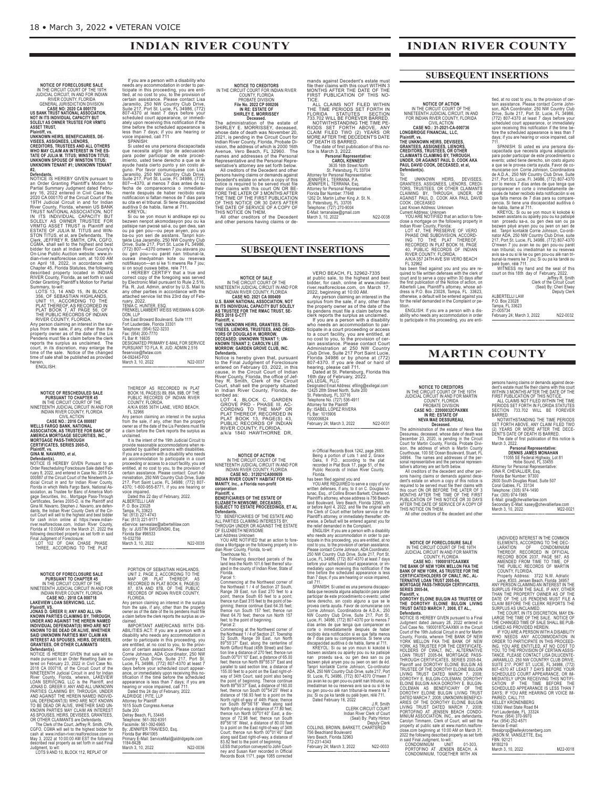### **INDIAN RIVER COUNTY**

# **NOTICE OF FORECLOSURE SALE** IN THE CIRCUIT COURT OF THE 19TH JUDICIAL CIRCUIT, IN AND FOR INDIAN RIVER COUNTY, FLORIDA

GENERAL JURISDICTION DIVISION<br>US BANK TRUST NATIONAL ASSOCIATION,<br>US BANK TRUST NATIONAL ASSOCIATION,<br>NOT IN ITS INDIVIDUAL CAPACITY BUT<br>SOLELY AS OWNER TRUSTEE FOR VRMTG<br>ASSET TRUST,

# Plaintiff, vs.<br>UNKNOWN HEIRS, BENEFICIARIES, DE-<br>VISEES, ASSIGNEES, LIENORS,<br>CREDITORS, TRUSTEES AND ALL OTHERS<br>WHO MAY CLAIM AN INTEREST IN THE ES-<br>VINC MAY CLAIM AN INTEREST IN THE ES-<br>UNKNOWN TENANT #1; UNKNOWN TENANT<br>U

# #2,<br>
#2, Perendants.<br>
NOTICE IS HEREBY GIVEN pursuant to<br>
Defendants.<br>
NOTICE IS Granting Plaintiff's Motion for<br>
Partial Summary Judgment dated Febru-<br>
2020 CA 000170 of the Circuit Court of the<br>
2020 CA 000170 of the Cir

LOTS 13, 14 AND 15, IN BLOCK<br>
356, OF SEBASTIAN HIGHLANDS,<br>
UNIT 11, ACCORDING TO THE<br>
PLAT THEREOF, AS RECORDED IN<br>
PLAT BOOK 7, AT PAGE 56, OF<br>
THE PUBLIC RECORDS OF INDIAN<br>
RIVER COUNTY, FLORIDA.<br>
ANY person claiming an ENGLISH:

# **NOTICE OF RESCHEDULED SALE<br>INTERNATION CHAPTER 45<br>IN THE CIRCUIT COURT OF THE<br>INTERNATION CIRCUIT COURT OF THE<br>INDIAN RIVER COUNTY, FLORIDA<br>CIVIL ACTION<br>WELLS FARGO BANK, NATIONAL<br>ASSOCIATION, AS TRUSTEE FOR BANC OF<br>AMERI**

# **GINA M. NAVARRO, et al,**

**Defendants).**<br>Constants (See Section Processue Sale dated Feb-<br>NOTICE IS HEREBY GIVEN Pursuant to an<br>Drag 2022, and entered in Case No. 2016 CAD<br>(Section Sale Critic Court of the Nineteenth Ju-<br>dicial Circuit in and for I

# **NOTICE OF FORECLOSURE SALE<br>PURSUANT TO CHAPTER 45<br>IN THE CIRCUIT COURT OF THE<br>NINETEENTH JUDICIAL CIRCUIT IN AND FOR<br>INDIAN RIVER COUNTY, FLORIDA<br>CASE NO.: 2015 CA 000718<br>LAKEVIEW LOAN SERVICING, LLC,**

Plaintiff, VS.<br>JONAS D. GREER II; ANY AND ALL UN-<br>KNOWN PARTIES CLAIMING BY, THROUGH,<br>UNDER AND AGAINST THE HEREIN NAMED<br>INDIVIDUAL DEFENDANT(S) WHO ARE NOT<br>KNOWN TO BE DEAD OR ALIVE, WHETHER<br>SAID UNKNOWN PARTIES MAY CLAIM

**Defendants).**<br>Constants (SHEREBY GIVEN that sale will be<br>note is HEREBY GIVEN that sale will be<br>made pursuant to an Order Resetting Sale en-<br>tered on February 23, 2022 in Civil Case No.<br>2018 CA 000718, of the Circuit Coun

If you are a person with a disability who<br>
needs any accommodation in order to particle<br>
ticipate in this proceeding, you are enti-<br>
tech, at no cost to you, to the provision of<br>
certain assistance. Please contact Lisa<br>
ce

bezwen nenpot akomodasyon pou cu ka<br>patisipe nan pwosé sal-a, ou gen qwa, san<br>ou pa gen pou—ou peye anyen, pou yo<br>ba-ou yon seri de asistans. Tanpri kon-<br>takte Lisa Jaramillo, 250 NW Country Club<br>Drive, Suite 217, Port St.

fleservice@flwlaw.com<br>04-092443-F00<br>March 3, 10, 2022 N22-0037

# THEREOF AS RECORDED IN PLAT<br>BOOK 16, PAGE(S) 89, 894, 898, OF THE<br>PUBLIC RECORDS OF INDIAN RIVER<br>COUNTY, FLORIDA.<br>AIKA 6585 36TH LANE, VERO BEACH,<br>FL 32966<br>AIKA 6585 36TH LANE, VERO BEACH,<br>FL 32966<br>from the sale, if any, o

It is the intent of the 19th Judicial Circuit to provide reasonable accommodations when re-<br>quested by qualified persons with disabilities.<br>If you are a person with a disability who needs<br>an accommodation to participate in a court<br>proceeding or access to a court facility Voice impaired.<br>Catalog day of Feb

| Dated this ZZ day of February, ZUZZ.  |          |
|---------------------------------------|----------|
| ALBERTELLI LAW                        |          |
| P. O. Box 23028                       |          |
| Tampa, FL 33623                       |          |
| Tel: (813) 221-4743                   |          |
| Fax: (813) 221-9171                   |          |
| eService: servealaw@albertellilaw.com |          |
| By: /s/ JUSTIN SWOSINSKI, Esq.        |          |
| Florida Bar #96533                    |          |
| 16-032759                             |          |
| March 3, 10, 2022                     | N22-0035 |
|                                       |          |

PORTION OF SEBASTIAN HIGHLANDS,<br>UNIT 2, PAGE 2, ACCORDING TO THE<br>MAP OR PLAT THEREOF, AS<br>RECORDED IN PLAT BOOK 6, PAGE(S)<br>87, 87A AND 87B, OF THE PUBLIC<br>REORIDA.<br>FLORIDA.

<<END\_NOTICE>>

Any person claiming an interest in the surplus from the sale, if any, other than the property owner as of the date of the lis pendens must file a claim before the clerk reports the surplus as un-claimed.

IMPORTANT AMERICANS WITH DIS-<br>ABILITIES ACT: If you are a person with a disability who needs any accommodation in<br>are entitled, at no cost to you, to the prove-<br>are entitled, at no cost to you, to the provi-<br>Corrie Johnson

| Attorney for Plaintiff                       |          |
|----------------------------------------------|----------|
| 1615 South Congress Avenue                   |          |
| Suite 200                                    |          |
| Delrav Beach, FL 33445                       |          |
| Telephone: 561-392-6391                      |          |
| Facsimile: 561-392-6965                      |          |
| By: JENNIFER TRAVIESO, Esq.                  |          |
| Florida Bar #641065                          |          |
| Primary E-Mail: ServiceMail@aldridgepite.com |          |
| 1184-842B                                    |          |
| March 3, 10, 2022                            | N22-0036 |
|                                              |          |

<<END\_NOTICE>>

**NOTICE TO CREDITORS**<br>
IN THE CIRCUIT COURT FOR INDIAN RIVER<br>
COUNTY, FLORIDA<br>
PROBATE DIVISION<br>
File No. 2022 CP 000206<br>
IN RE: ESTATE OF<br>
SHIRLEY E. MORRISSEY<br>
The administration of the estate of<br>
SHIRLEY E. MORRISSEY, d

### **SUBSEQUENT INSERTIONS**

NOTICE OF SALE<br>
IN THE CIRCUIT COURT OF THE<br>
INDETENTH JUDICIAL CIRCUIT IN AND FOR<br>
INDIAN RIVER COUNTY, FLORIDA<br>
CASE NO. 2021 CA 000409<br>
U.S. BANK NATIONAL ASSOCIATION, NOT<br>
IN ITS INDIVIDUAL CAPACITY BUT SOLELY<br>
AN TRIS

Notice is hereby given that, pursuant<br>to the Final Judgment of Foreclosure<br>entered on February 03, 2022, in this<br>cause, in the Circuit Court of Indian<br>River County, Florida, the office of Jef-<br>frey R. Smith, Clerk of the C

LOT 4, BLOCK C, GARDEN<br>GROVE PRD - PHASE III, AC-<br>CORDING TO THE MAP OR<br>PLAT THEREOF, RECORDED IN<br>PLAT BOOK 13, PAGE(S) 43,<br>PUBLIC RECORDS OF INDIAN<br>RIVER COUNTY, FLORIDA.<br>A/k/a 1840 HAWTHORNE DR,

NOTICE OF ACTION<br>IN THE CIRCUIT COURT OF THE<br>INDIAN RIVEIGAL CIRCUIT IN AND FOR<br>INDIAN RIVER COUNTY, FLORIDA<br>CASE NO.: 312021 CASHOR659<br>INDIAN RIVER COUNTY HABITAT FOR HU-

MANITY, Inc., a Florida non-profit<br>Panity, Inc., a Florida non-profit<br>Plaintiff, v.<br>ELIZABETH NEWSOME, DECEASED,<br>DEVERENT NEWSOME, DECEASED,<br>Defendants.<br>TO: BENEFICIARIES OF THE ESTATE AND<br>ALL PARTIES CLAIMING INTERESTS BY

close a Mortgage on the following property in In-<br>dian River County, Florida, to-wit:<br>Townhouse No. 1<br>The Following described parcels of the<br>land less the North 101.6 feet thereof situ-<br>ated in the county of Indian River,

Florida. Parcel 1:

Commencing at the Northwest corner of<br>the Northeast 1 / 4 of Section 27 South,<br>Range 39 East, run East 270 feet to a<br>point, thence South 65 feet to to a point;<br>thence run East 315 feet to the point of be-<br>ginning; thence c

Commencing at the Northwest corner of the Northwest connection<br>the Northeast 1/4 of Section 27, Township<br>32 South, Range 39 East, run North<br>North Gifford Road (45th Street) and Sec-<br>North Gifford Road (45th Street) and Sec

mands against Decedent's estate must<br>file their claims with this court WITHIN 3<br>MONTHS AFTER THE DATE OF THE<br>FIRST PUBLICATION OF THIS NO-<br>TICE.<br>TICE.<br>TICE THE THE THE THE THE THE THE TIME PERIODS SET FORTH IN<br>FLORIDA CIAL

CAROL KENNEDY<br>
3635 16th Street North<br>
St. Petersburg, FL 33704<br>
Attorney for Personal Representative:<br>
JENNIFER L. TERRANA, Esq.<br>
JENNIFER L. TERRANA, Esq.<br>
Attorney for Personal Representative<br>
Attorney for Personal Repr

VERO BEACH, FL 32962-7335<br>stat public sale, to the highest and best<br>bidder, for cash, online at www.indian-<br>river.realforeclose.com, on March 17,<br>Any person claiming an interest in the<br>2022, beginning at 10:00 AM.<br>surplus

ticipate in a court factility, you are entitled, at<br>no a court factility, you are entitled, at<br>no cost to you, to the provision of cer-<br>tatin assistance. Please contact Court<br>Administration at 250 NW Country<br>Club Drive, Su

in Official Records Book 1242, page 2680. Being a portion of Lots 1 and 2, Grace Oaks, II P.D., according to the plat recorded in Plat Book 17, page 51, of the Public Records of Indian River County, Florida.

has been filed against you and<br>witten filed against you and NOU ARE REQUIRED to serve a copy of your<br>written defenses, if any, to it on C. Douglas Vi-<br>Unit, Easq. of Collins Brown Barkett, Chartered,<br>Plaintiff's attorney,

itada que necesita alguna adaptación para poder<br>juardicipar de este procedimiento o evento; usted<br>provea cierta ayuda. Favor de comunicarse con<br>Corre Johnson, Coordinadora de A.D.A., 250<br>Corre Johnson, Coordinadora de A.D.

imediatman ke ou resevwa avis sa-a ou si lè ke ou gen pou-ou alé nan tribunal-la mwens ke 7 jou; Si ou pa ka tandé ou palé byen, rélé 711. Dated February 16, 2022

J.R. Smith CLERK CIRCUIT COURT Indian River Clerk of Court (Seal) By: Patty Hinton

Deputy Clerk COLLINS, BROWN, BARKETT, CHARTERED 756 Beachland Boulevard Vero Beach, Florida 32963 772-231-4343 February 24; March 3, 2022 N22-0033

NOTICE OF ACTION<br>IN THE CIRCUIT COURT OF THE<br>NINETEENTH JUDICIAL CIRCUIT, IN AND<br>FOR INDIAN RIVER COUNTY, FLORIDA<br>CASE NOT 31-2021-CA-000736<br>LONGBRIDGE FINANCIAL, LLC,

Plaintiff, vs.<br>THE UNKNOWN HEIRS, DEVISEES,<br>GRANTEES, ASSIGNEES, LIENORS,<br>CREDITORS, TRUSTEES, OR OTHER<br>CLAIMANTS CLAIMING BY, THROUGH,<br>UNDER, OR AGAINST PAUL D. COOK AKA<br>PAFendant(s).<br>Defendant(s).

To:<br>The UNKNOWN HEIRS, DEVISEES,<br>GRANTEES, ASSIGNEES, LIENORS, CREDI-<br>TORS, TRUSTEES, OR OTHER CLAIMING<br>CLAIMING BY, THROUGH, UNDER, OR<br>AGAINST PAUL D. COOK AKA PAUL DAVID<br>CARING MORGES: Unknown<br>CLAIK KNOWN Address: Unknow

close a mortgage on the following property in<br>Indian River County, Florida:<br>LOT 47, THE PRESERVE OF VERO<br>PHASE ONE SUBDIVISION, ACCORD-<br>ING TO THE PLAT THEREOF,<br>RECORDED IN PLAT BOOK 16, PAGE<br>40, PUBLIC RECORDS OF INDIAN<br>R

FL 32962<br>ensied against you and you are re-<br>quired to file written defenses with the clerk of<br>court and to serve a copy within 30 days after<br>the first publication of the Notice of action, on<br>Albertelli Law, Plaintiff's att

ENGLISH: If you are a person with a disability who needs any accommodation in order to participate in this proceeding, you are enti-

**SUBSEQUENT INSERTIONS**

**INDIAN RIVER COUNTY**

tled, at no cost to you, to the provision of certification, and a to the massistance. Please contact Crorie Johnson, ADA Coordinator, 250 NW Country Club<br>(772) 807-4370 at least 7 devise, FL 4986, 100<br>(772) 807-4370 at lea

Tampa, FL 33623 21-005734 February 24; March 3, 2022 N22-0032 <<END\_NOTICE>>

# **MARTIN COUNTY**

persons having claims or demands against dece-<br>dent's estate must file their claims with this court<br>WITHIN 3 MONTHS AFTER THE DATE OF THE<br>FIRST PUBLICATION OF THIS NOTICE.<br>FERIODS SET FORTH IN FLORIDA STATUTES<br>ECTION 733.7

**Personal Representative:** DENINS JAMES MONAHAN<br>
11055 SE Federal Highway, Lt 81<br>
11055 SE Federal Highway, Lt 81<br>
Hobe Sound, FL 33455<br>
6INA R. CHEVALLIER, Esq.<br>
Florida Bar Number: 97300<br>
2600 South Douglas Road, Suite 507<br>
2600 South Douglas Road

**NOTICE OF FORECLOSURE SALE<br>IN THE CIRCUIT COURT OF THE 19TH<br>JUDICIAL CIRCUIT IN AND FOR MARTIN<br>COUNTY, FLORIDA<br>CASE NO.: 19000187CAAXMX<br>THE BANK OF NEW YORK, AS TRUSTEE FOR THE<br>BANK OF NEW YORK, AS TRUSTEE FOR THE<br>CERTIFI** 

**SERIES 2005-84,**

**NOTICE TO CREDITORS**<br>
IN THE CIRCUIT COURT OF THE 19TH<br>
JUDICIAL CIRCUIT IN AND FOR MARTIN<br>
COUNTY, FLORIDA<br> **CASE NO.:** 22000032CPAXMX<br> **REE ESTATE OF**<br> **CASE NO.:** 22000032CPAXMX<br> **IN RE: ESTATE OF**<br> **REE ESTATE OF**<br> **R** 

Plaintiff, v.<br>DOROTHY ELOINE BULGIN AS TRUSTEE OF<br>THE DOROTHY ELOINE BULGIN LIVING<br>TRUST DATED MARCH 7, 2008, ET AL.,<br>Defendants.

NOTICE IS HEREBY GIVEN pursuant to a Final<br>Judgment dated January 28, 2022 entered in<br>Civil Case No. 19000187CAAXMX in the Circuit<br>County, Fiorida, wherein THE BANK OF NEW<br>County, Fiorida, wherein THE BANK OF NEW<br>YORK. MEL

UNDIVIDED INTEREST IN THE COMMON<br>
LEEMENTS, ACCORDING TO THE DEC-<br>
LEARATION<br>
THEREOF, RECORDED IN OFFICIAL<br>
RECORD BOOK 2037, PAGE 667, AS<br>
AMENDED FROM TIME TO TIME, OF<br>
THE PUBLIC RECORDS OF MARTIN<br>
COUNTY, FLORIDA.<br>
TH

M180219 March 3, 10, 2022 M22-0018 <<END\_NOTICE>>

JASON M. VANSLETTE, Esq. FBN: 92121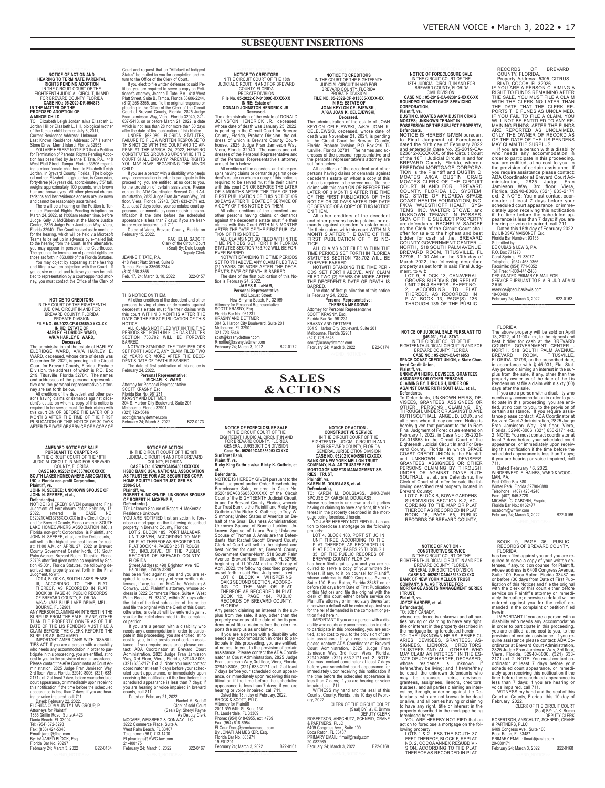**NOTICE OF ACTION AND<br>HEARING TO TERMINATE PARENTAL<br>RIGHTS PENDING ADOPTION<br>IN THE CIRCUIT COURT OF THE<br>EIGHTTEENTH JUDICIAL CIRCUIT, IN AND<br>FOR REFUARD COURT FOR THE<br>CASE NO.: 05-2020-DR-054878<br>IN THE MATTER OF THE<br>PROPOS** 

A MINOR CHILD.<br>To: Elizabeth Leigh Jordan a/k/a Elizabeth L.<br>To: Elizabeth Leigh Jordan a/k/a Elizabeth L.<br>Ordan Hill or Elizabeth L. Hill, biological mother<br>Current Residence Address: 077 Heather<br>Current Residence Address

# **NOTICE TO CREDITORS**<br>IN THE COURT OF THE EIGHTEENTH<br>JUDICIAL CIRCUIT IN AND FOR<br>BREVARD COUNTY, FLORIDA PROBATE DIVISION **FILE NO. 05-2022-CP-013669-XXXX-XX IN rE: EsTATE OF HArLEY ELdrIdGE WArd, A/K/A HArLEY E. WArd,**

Dreadministration of the estate of HARLEY<br>
Dreadministration of the estate of HARLEY<br>
WARD, A/K/A HARLEY<br>
WARD, A/K/A HARLEY<br>
WARD, Coeased, whose date of death was<br>
December 16, 2021, is pending in the Circuit<br>
Court for

**AMENDED NOTICE OF SALE<br>IN THE CIRCUIT COURT OF THE 18TH<br>IN THE CIRCUIT (NAND FOR BREVARD<br>JUDICIAL CIRCUIT, IN AND FOR BREVARD<br>CASE NO. 052021CA033786XXXXXX<br>SOUTH LAKES HOMEOWNERS ASSOCIATION,<br>INC, a Florida non-profit Cor** 

**Defendants).**<br> **NOTICE IS HEREBY** GIVEN pursuant to Final<br>
Judgment of Foreclosure dated February 17,<br>
2022, entered in CASE<br>
100.<br>
2022/21CA033786XXXXX in the Circuit Court in<br>
and for Brevard Courty, Florida where in SO

| Dated: February 22, 2022.         |          |
|-----------------------------------|----------|
| FLORIDA COMMUNITY LAW GROUP, P.L. |          |
| <b>Attorneys for Plaintiff</b>    |          |
| 1855 Griffin Road, Suite A-423    |          |
| Dania Beach, FL 33004             |          |
| Tel: (954) 372-5298               |          |
| Fax: (866) 424-5348               |          |
| Email: jared@flclg.com            |          |
| By: /s/ JARED BLOCK, Esg.         |          |
| Florida Bar No. 90297             |          |
| February 24; March 3, 2022        | B22-0164 |
|                                   |          |

<<END\_NOTICE>>

Court and request that an "Affidavito" Indigent<br>Status" be mailed to you for completion and re-<br>Using the mailed to you for completion and re-<br>If you elect to file written defenses to said Pe-<br>Ition, you are required to se

(Seal) By: Dale Lough Deputy Clerk

JEANNE T. TATE, P.A. 418 West Platt Street, Suite B Tampa, Florida 33606-2244 (813) 258-3355 Feb. 17, 24; March 3, 10, 2022 B22-0157 <<END\_NOTICE>>

THIS NOTICE ON THEM.

All other creditors of the decedent and other<br>persons having claims or demants against<br>decedent's estate must file their claims with<br>this court WITHIN 3 MONTHS AFTER THE<br>DATE OF THE FIRST PUBLICATION OF THIS<br>NOTICE.<br>PERIOD

BARRED.<br>
NOTWITHSTANDING THE TIME PERIODS<br>
SET FORTH ABOVE, ANY CLAIM FILED TWO<br>
(2) YEARS OR MORE AFTER THE DECE-<br>
DENT'S DATE OF DEATH IS BARRED.<br>
The date of first publication of this notice is<br>
Personal Representative:

Attorney for Personal Representative<br>SCOTT KRASNY, Esq.<br>Florida Bar No. 961231<br>KRASNY AND DETTMER<br>304 S. Harbor City Boulevard, Suite 201<br>Melbourne, Florida 32901<br>scott@krasnydettmer.com<br>scott@krasnydettmer.com

scott@krasnydettmer.com<br>February 24; March 3, 2022 B22-0173 <<END\_NOTICE>>

**NOTICE OF ACTION<br>IN THE CIRCUIT COURT OF THE 18TH<br>JUDICIAL CIRCUIT IN AND FOR BREVARD<br>COUNTY, FLORIDA<br>CASE NO.: 052021CA054501XXXXXX<br>HSBC BANK USA, NATIONAL ASSOCIATION<br>AS TRUSTEE FOR ACE SECURITIES CORP<br>HOME EQUITY LOAN** 

**rOBErT H. MCKENZIE; uNKNOWN sPOusE OF rOBErT H. MCKENZIE,**

Defendant(s).<br>To Unknown Spouse of Robert H. McKenzie<br>Residence Unknown<br>YOU ARE NOTIFIED that an action to fore-<br>YOU ARE NOTIFIED that an action to fore-<br>close a mortgage on the following described<br>property in Brevard Coun

Street Address: 490 Brighton Ave NE,<br>has been filed against you and you are re-<br>quired to serve a copy of your written de-<br>fenses, if any, to it on McCabe, Weisberg &<br>Conway, LLC, Plaintiff's attorney, whose address is 322

If you are a person with a disability who<br>needs any accommodation in order to particle in this proceeding, you are entitled, at no<br>cost to you, to the provision of certain assistance. If you require assistance please con-<br>

|                                | GIELK OF SAIG COUL      |
|--------------------------------|-------------------------|
|                                | (Seal) By: Sheryl Payne |
|                                | As Deputy Clerk         |
| MCCABE, WEISBERG & CONWAY, LLC |                         |
| 3222 Commerce Place, Suite A   |                         |
| West Palm Beach, FL 33407      |                         |
| Telephone: (561) 713-1400      |                         |
| FLpleadings@MWC-law.com        |                         |
| 21-400175                      |                         |
| February 24; March 3, 2022     | B22-0167                |
|                                |                         |

<<END\_NOTICE>>

NOTICE TO CREDITORS<br>
IN THE CIRCUIT COURT OF THE 18th<br>
JUDICIAL CIRCUIT, IN AND FOR BREVARD<br>
FIGURE CUIT, IN AND FOR BREVARD<br>
FIGURE 10 VISION HENDRON<br>
IN RE: Estate of<br>
IN RE: Estate of<br>
IN RE: Estate of<br>
IN RE: Estate of

JAMES S. LaHAM,<br>
Personal Representative<br>
Personal Representative<br>
New Smyrna Beach, FL 32169<br>
New Smyrna Beach, FL 32169<br>
Attorney for Personal Representative<br>
SCOTT KRASNY, Esq.<br>
Findia Bar No. 961231<br>
Melbourne, FL 3290

Rmottle@krasnydettmer.com February 24; March 3, 2022 B22-0172

<<END\_NOTICE>>

**SALES &ACTIONS**

NOTICE OF FORECLOSURE SALE<br>IN THE CIRCUIT COURT OF THE<br>EIGHTEENTH JUDICIAL CIRCUIT IN AND<br>FOR BREVARD COUNTY, FLORIDA<br>GENERAL JURISDICTION DIVISION<br>Case No. 052019CA035605XXXXXX

**Plaintiff, vs. ricky King Guthrie a/k/a ricky K. Guthrie, et al., defendants.** NOTICE IS HEREBY GIVEN pursuant to the

Final Judgment and/or Order Rescheduling<br>Toreclosure Sale, entered in Case No.<br>
Foreclosure of the EliGHTEENTH Judicial Circuit,<br>
Control of the EliGHTEENTH Judicial Circuit<br>
Count of the EliGHTEENTH Judicial Circuit<br>
in a

plus from the sale, if any, other than the<br>property owner as of the date of the lis per-<br>dens must file a claim before the clerk re-<br>ports the surplus as unclaimed.<br>If you are a person with a disability who<br>needs any accom

2001 NW 64th St, Suite 130<br>Ft. Lauderdale, FL 33309<br>Phone: (954) 618-6955, ext. 4769<br>Fax: (954) 618-6954<br>FLCourtDocs@brockandscott.com

By JONATHAN MESKER, Esq. Florida Bar No. 805971

19-F01201 February 24; March 3, 2022 B22-0161

**sunTrust Bank,**

NOTICE TO CREDITORS<br>
JUDICIAL CIRCUIT IN AND FOR<br>
JUDICIAL CIRCUIT IN AND FOR<br>
BREVARD COUNTY, FLORIDA<br>
PROBATE DIVISION<br>
PILE NO. 05-2022-CP-013665-XXXX-XX<br>
IN RE: ESTATE OF<br>
JOAN KEYLON CELEJEWSKI,<br>
AIKIA JOAN K. CELEJEW

persons having claims or demands against<br>decedent's estate on whom a copy of this<br>notice is required to be served must file their<br>claims with this court ON OR BEFORE THE<br>LATER OF 3 MONTHS AFTER THE TIME<br>OF THE FIRST PUBLIC

ON THEM.<br>All other creditors of the decedent<br>and other persons having claims or de-<br>mands against decedent's estate must<br>file their claims with this court WITHIN<br>MONTHS AFTER THE DATE OF THE<br>FIRST PUBLICATION OF THIS NO-<br>T

TIME PERIODS SET FORTH IN FLORIDA<br>STATUTES SECTION 763.702 WILL BE<br>FOREVER BARRED.<br>NOTWITHSTANDING THE TIME PERIODS SET FORTH ABOVE, ANY CLAIM<br>FILED TWO (2) YEARS OR MORE AFTER<br>HELED TWO (2) YEARS OR MORE AFTER<br>HARRED.<br>THE

scott@krasnydettmer.com<br>February 24; March 3, 2022 B22-0174

NOTICE OF ACTION<br>CONSTRUCTIVE SERVICE<br>IN THE CIRCUIT COURT OF THE<br>EIGHTEENTH JUDICIAL CIRCUIT IN AND<br>FOR BREVARD COUNTY, FLORIDA<br>GENERAL JURISDICTION DIVISION<br>BANK OF NEW YORK MELLON TRUST<br>BANK OF NEW YORK MELLON TRUST<br>COM

**Plaintiff, vs. KArEN M. dOuGLAss, et. al.**

**Defendant(s),**<br>TO: KAREN M. DOUGLASS, UNKNOWN<br>SPOUSE OF KAREN M. DOUGLASS, whose residence is unknown and all parties<br>having or claiming to have any right, title or in-<br>terest in the property described in the mort-<br>gage being foreclosed herein.<br>YOU ARE HEREBY NOTIFIED that an ac-

tion to foreclose a mortgage on the following<br>property LOT 4, BLOCK 100, PORT ST. JOHN<br>UNIT THREE, ACCORDING TO THE UNIT THERE OF A RECORDED IN<br>PLAT THERE OF A RECORDED IN<br>PLAT BOOK 22, PAGES 25 THROUGH<br>BREVARD COUNTY, FLO

IMPORTANT If you are a person with a dis-<br>ability who meds any accommodation in order<br>to participate in this proceeding, you are enti-<br>tele, at no ocst to you, to the provision of cer-<br>tatian assistance. If you require ass

(Seal) BY: \s\ K. Brimm<br>ROBERTSON, ANSCHUTZ, SCHNEID, CRANE<br>& PARTNERS, PLLC<br>6409 Congress Ave., Suite 100<br>Boca Raton, FL 33487<br>PRIMARY EMAIL: flmail@raslg.com<br>PRIMARY EMAIL: flmail@raslg.com 20-082269 February 24; March 3, 2022 B22-0169

<<END\_NOTICE>>

**NOTICE OF FORECLOSURE SALE** IN THE CIRCUIT COURT OF THE<br>18TH JUDICIAL CIRCUIT, IN AND FOR<br>BREVARD COUNTY, FLORIDA<br>CASE NO.: 05-2019-CA-023812-XXXX-XX<br>RONNDPOINT MORTGAGE SERVICING<br>RONDPOINT MORTGAGE SERVICING

Plaintiff, vs.<br>DUSTIN C. MOATES A/K/A DUSTIN CRAIG<br>MOATES; UNKNOWN TENANT IN<br>POSSESSION OF THE SUBJECT PROPERTY,

**Defendants.**<br>Computer SCREEDY GIVEN pursuant<br>NOTICE IS HEREBY GIVEN pursuant<br>to Final Judgment of Foreclosure<br>and entered in Case No. 05-2019-CA-<br>2023812-XXXX-XX, of the Circuit Court County, Florida, wherein<br>of the 18TH

GROVES SUBDIVISION REPLAT<br>UNIT 2 IN 4 SHEETS - SHEET NO.<br>2, ACCORDING TO PLAT<br>THEREOF, AS RECORDED IN<br>PLAT BOOK 139 OF THE PUBLIC<br>THROUGH 139 OF THE PUBLIC

NOTICE OF JUDICIAL SALE PURSUANT TO<br>
NTE CHA. STAT.<br>
IN THE CIRCUIT COURT OF THE<br>
EIGHTEENTH JUDICIAL CIRCUIT IN AND FOR<br>
EREVARD COUNTY, FLORIDA<br>
CASE NO.: 05-2021-CA-016853<br>
SPACE COAST CREDIT UNION, a State Char-<br>
tered

**AssIGNEEs Or OTHEr PErsONs CLAIMING BY, THrOuGH, uNdEr Or AGAINsT dIANE ruTH sOuTHALL, et al., defendants.** To Defendants, UNKNOWN HEIRS, DE-

VISEES, GRANTEES, ASSIGNEES OR OTHER PERSONS CLAIMING BY, THROUGH, UNDER OR AGAINST DIANE RUTH SOUTHALL, ANGEL D. LOUX, and<br>all others whom it may concern: Notice is<br>hereby given that pursuant to the In Rem<br>Final Judgment of Foreclosure entered on<br>February 1, 2022, in Case No.: 05-2021-<br>CA-016853 in the Circuit

Brevard County:<br>
LOT 7, BLOCK B, BOWE GARDENS<br>
SUBDIVISION SECTION K-2, AC-<br>
CORDING TO THE MAP OR PLAT<br>
THEREOF AS RECORDED IN PLAT<br>
BOOK 16, PAGE 55, PUBLIC<br>
RECORDS OF BREVARD COUNTY,

**NOTICE OF ACTION -**<br>CONSTRUCTIVE SERVICE<br>IN THE CIRCUIT COURT OF THE<br>EIGHTEENTH JUDICIAL CIRCUIT IN AND FOR<br>BREVARD COUNTY, FLORIDA<br>GENERAL JURISDICTION DIVISION<br>CASE NO. 052021CA043513XXXXXX<br>BANK OF NEW YORK MELLON TRUST

TO: JOEY CANADY,<br>whose residence is unknown and all parties having considities and the property described in<br>the orienterest in the property described in the mortgage being foreclosed herein.<br>TO: THE UNKNOWN HEIRS, BENEFIC property described in the mortgage being foreclosed herein. YOU ARE HEREBY NOTIFIED that an

action to foreclose a mortgage on the fol-<br>
loming property:<br>
LOTS 1 & 2 LESS THE SOUTH 37<br>
FEET THEREOF, BLOCK F, REPLAT<br>
NO. 2, COCOA ANNEX RESUBDIVI-<br>
SION, ACCORDING TO THE PLAT<br>
THEREOF AS RECORDED IN PLAT

RECORDS<br>
COUNTY, FLORDA<br>
COUNTY, FLORDA<br>
Property Address: 5305 CITRUS<br>
BLVD, COCOA, FL 32926<br>
IF YOU ARE A PERSON CLAIMING AFTER<br>
RIGHT TO FUNDS REMANING AFTER<br>
THE SALE. YOU MUST FILE A CLAIM<br>
WITH THE CLERK NO LATER THA

P.O. Box 771270<br>Coral Springs, FL 33077<br>Falephone: (954) 453-0365<br>Toll Free: 1-800-441-2438<br>DISIGNATED PRIMARY E-MAIL FOR<br>DESIGNATED PRIMARY E-MAIL FOR<br>SERVICE PURSUANT TO FLA. R. JUD. ADMIN<br>2.516

eservice@decubaslewis.com<br>19-00403<br>February 24; March 3, 2022 B22-0162

FLORIDA<br>
FIRE ANONG Property will be sold on April<br>
The above property will be sold on April<br>
13, 2022, at 11:00 a.m., to the highest and<br>
best bidder for cash at the BREVARD<br>
COUNTY GOVERNMENT CENTER<br>
COUNTY GOVERNMENT CE

BOOK 9, PAGE 36, PUBLIC<br>RECORDS OF BREVARD COUNTY,<br>FLORIDA.<br>ABCORDS OF BREVARD COUNTY,<br>FLORIDA.<br>quired to serve a copy of your written de-<br>quired to serve a copy of your written de-<br>fenses, if any, to it on counsel for Pla

IMPORTANT If you are a person with a<br>disability who needs any accommodation<br>in order to participate in this proceeding,<br>provision of certain assistance. If you re-<br>quire assistance please contact. ADA Co-<br>prime assistance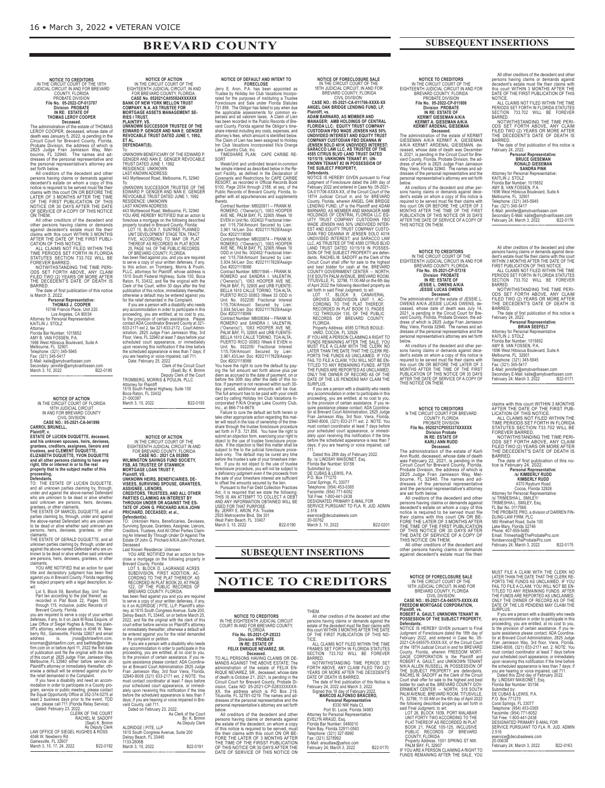# **BREVARD COUNTY**

### **SUBSEQUENT INSERTIONS**

# NOTICE TO CREDITORS **NOTICE TO CREDITORS** IN THE CIRCUIT CoURT oF THE 18TH JUDICIAL CIRCUIT IN AND FoR BREVARD CoUNTY, FLoRIDA PRoBATE DIVISIoN **File No. 05-2022-CP-013707 Division PROBATE IN RE: ESTATE OF**

THOMAS LEROY COOPER<br>The administration of the estate of THOMAS<br>LEROY COOPER, deceased, whose date of<br>death was January 5, 2022, is pending in the<br>Circuit Court for Brevard County, Florida,<br>Probate Division, the address of

set forth below.<br>All creditors of the decedent and other<br>persons having claims or demands against<br>decedent's estate on whom a copy of this<br>notice is required to be served must file their claims with this court ON OR BEFORE THE<br>LATER OF 3 MONTHS AFTER THE TIME<br>OF THE FIRST PUBLICATION OF THIS<br>NOTICE OR 30 DAYS AFTER THE DATE<br>OF SERVICE OF A COPY OF THIS NOTICE<br>ON THEM.<br>ON THEM.<br>All other creditors of the de

**THOMAS J. COOPER**<br>
10746 Francis Place, Unit 220<br>
Los Angeles, CA 90034<br>
Attorney for Personal Representative:<br>
KAITLIN J. STOLZ<br>
Attorney

Florida Bar Number: 1015652 AMY B. VAN FoSSEN, P.A. 1696 West Hibiscus Boulevard, Suite A<br>Melbourne, FL 32901<br>Telephone: (321) 345-5945<br>Fax: (321) 345-5417<br>E-Mail: katie@amybvanfossen.com<br>Secondary: jennifer@amybvanfossen.com<br>March 3, 10, 2022<br>March 3, 10, 2022

<<END\_NoTICE>>

# **NOTICE OF ACTION<br>IN THE CIRCUIT COURT OF FLORIDA<br>18TH JUDICIAL CIRCUIT<br>IN AND FOR BREVARD COUNTY**

CIVIL DIVISIoN **CASE NO.: 05-2021-CA-041896 CARROL BRUNELL,**

**Plaintiff, v. ESTATE OF LUCIEN DUQUETTE, deceased,** and his unknown spouses, heirs, devisees,<br>grantees, creditors, assignees, lienors and<br>trustees, and CLEMENT DUQUETTE,<br>ELIZABETH DUQUETTE, YVON DUQUETTE and all other persons claiming to have any<br>right, title or interest in or to the real<br>property that is the subject matter of this<br>proceeding,

Defendants.<br>TO: THE ESTATE OF LUCIEN DUQUETTE,<br>TO: THE ESTATE OF LUCIEN DUQUETTE,<br>under and against the above-named Defendant<br>who are unknown to be dead or alive whether<br>said unknown are persons, heirs, devisees,<br>grantees,

THE ESTATE OF MARCEL DUQUETTE, and all<br>parties claiming by, through, under and against<br>the above-named Defendant who are unknown<br>to be dead or alive whether said unknown are<br>persons, heirs, devisees, grantees, or other<br>cla

unknown parties claiming by, through, under and against the above-named Defendant who are un-known to be dead or alive whether said unknown are persons, heirs, devisees, grantees, or other claimants. YoU ARE NoTIFIED that an action for quiet

title and declaratory judgment has been filed against you in Brevard County, Florida regarding the subject property with a legal description, to-wit:

Lot 5, Block 59, Barefoot Bay, Unit Two<br>
Part en according to the plat thereof, as<br>
recorded in Plat Book 22, Pages 105<br>
through 115, inclusive, public Records of<br>
Enverance County, Fiorida.<br>
Everance required to serve a c

| users, please call / 11 (Florida Relay Service). |                                    |
|--------------------------------------------------|------------------------------------|
| Dated: February 23, 2022.                        |                                    |
|                                                  | <b>CLERK OF THE COURT</b>          |
|                                                  | RACHEL M. SADOFF                   |
|                                                  |                                    |
|                                                  | (Seal) K. Brimm<br>As Deputy Clerk |
| LAW OFFICE OF SIEGEL HUGHES & RÓSS               |                                    |
| 4046 W. Newberry Rd.                             |                                    |
| Gainesville, FL 32607                            |                                    |
| March 3, 10, 17, 24, 2022                        | B22-0192                           |
|                                                  |                                    |

<<END\_NoTICE>>

**NOTICE OF ACTION<br>EIGHTEEN THE CIRCUIT COURT OF THE<br>EIGHTEENTH JUDICIAL CIRCUIT, IN AND<br>FOR BREVARD COUNTY, FLORIDA.<br>BANK OF NEW YORK MELLON TRUST<br>BANK OF NEW YORK MELLON TRUST<br>COMPANY, N.A. AS TRUSTEE FOR<br>MORTGAGE ASSETS** 

# **DEFENDANT(S).**

To:<br>UNKNOWN BENEFICIARY OF THE EDWARD P.<br>GENGER AND NAN E. GENGER REVOCABLE<br>TRUST DATED JUNE 1, 1992<br>RESIDENCE: UNKNOWN<br>LAST KNOWN ADDRESS:<br>143 Myrtlewood Road, Melbourne, FL 32940<br>To:

UNKNOWN SUCCESSOR TRUSTEE OF THE<br>EDWARD P. GENGER AND NAN E. GENGER<br>REVOCABLE TRUST DATED JUNE 1, 1992<br>RESIDENCE: UNKNOWN<br>LAST KNOWN ADDRESS:

443 Myltlewood Road, Melbourne, FL 32940<br>YOU ARE HEREBY NOTIFIED that an action to<br>foreclose a mortgage on the following described<br>property located in Brevard County, Florida:<br>UNIT DEVELOPMENT STAGE TEN, TRACT<br>UNIT DEVELOP

has been filed against you, and you are required<br>to serve a copy of your written defenses, if any,<br>to this action, on Tromberg, Morris & Poulin,<br>PLLC, attorneys for Plaintiff, whose address is<br>1515 South Federal Hightway, upon receiving this notification if the time before<br>the scheduled appearance is less than 7 days; it<br>you are hearing or voice impaired, call 711.<br>Date: February 25, 2022<br>Clerk of the Circuit Court

|        | GUI UAI Y LU, LULL         |
|--------|----------------------------|
|        | Clerk of the Circuit Court |
|        | (Seal) By: K. Brimm        |
|        | Deputy Clerk of the Court  |
| $\sim$ |                            |

| TROMBERG. MORRIS & POULIN. PLLC       |          |
|---------------------------------------|----------|
| <b>Attorney for Plaintiff</b>         |          |
| 1515 South Federal Highway, Suite 100 |          |
| Boca Raton, FL 33432                  |          |
| 21-000397                             |          |
| March 3, 10, 2022                     | B22-0193 |
|                                       |          |

<<END\_NoTICE>>

**NOTICE OF ACTION<br>EIGHTEENTH JUDICIAL CIRCUIT IN AND<br>FIGHTEENTH JUDICIAL CIRCUIT IN AND<br>FOR BREVARD COUNTY, FLORIDA<br>CASE NO.: 2021 CA 052800<br>WILMINGTON SAVINGS FUND SOCIETY,<br>FSB, AS TRUSTEE OF STANWICH**<br>MORTGAGE LOAN TRUST

Plaintiff, VS.<br>UNKNOWN HEIRS, BENEFICIARIES, DE-<br>UNSEES, SURVIVING SPOUSE, GRANTEES,<br>ASSIGNEE, LIENORS,<br>CREDITORS, TRUSTEES, AND ALL OTHER<br>PARTIES CLAIMING AN INTEREST BY<br>THROUGH UNDER OR AGAINST THE ES-<br>TRICHARD, DECEASED

**Defendant(s).** To: Unknown Heirs, Beneficiaries, Devisees, Surviving Spouse, Grantees, Assignee, Lienors, Creditors, Trustees, And All other Parties Claim-ing An Interest By Through Under or Against The Estate of John G. Prichard A/K/A John Prichard,

Deceased<br>
Deceased Movin Residence: Unknown<br>
Last Known Residence: Unknown and of the<br>
close a mortgage on the following property in<br>
Brevard County, Florida:<br>
LOT 5, BLOCK D, LAGRANGE ACRES<br>
USDIVISION, FIRST ADDITION, AC

| ALDRIDGE   PITE, LLP                  | As Clerk of the Court<br>By: K. Brimm<br>As Deputy Clerk |  |
|---------------------------------------|----------------------------------------------------------|--|
| 1615 South Congress Avenue, Suite 200 |                                                          |  |
| Delray Beach, FL 33445<br>1133-2606B  |                                                          |  |
| March 3, 10, 2022                     | B22-0191                                                 |  |
|                                       |                                                          |  |

**NOTICE OF DEFAULT AND INTENT TO**<br>Jerry E. Aron, P.A. has been appointed as<br>Trustee by Holiday Inn Club Vacations Incorporated for the purposes of instituting a Trustee<br>Foreclosure and Sale under Findria Statutes<br>721.856. Lake Country Club, Inc. TIMESHARE PLAN: CAPE CARIBE RE- NOTICE OF FORECLOSURE SALE<br>
IN THE CIRCUIT COURT OF THE<br>
18TH JUDICIAL CIRCUIT, IN AND FOR<br>
CASE NO.: 05-2021-CA-011706-XXXX-XX<br>
CASE NO.: 05-2021-CA-011706-XXXX-XX<br>
CASE NO.: 05-2021-CA-011706-XXXX-XX<br>
ANGEL OAK BRIDGE LE

February 2022 and entered in Case No. 05-2021<br>CA-011706-XXXX-XX, of the Circuit Court of the<br>CA-011706-XXXX-XX, of the Circuit Court of the<br>18TH Judicial Circuit in and for BREVARD<br>County, Fiorda, wherein ANGEL OAK BRIDGE

IF YOU ARE A PERSON CLAIMING A RIGHT TOURNED FUNDS REMAINING AFTER THE SALE, YOU<br>MUST FILE A CLAIM WITH THE CLERK NO<br>LATER THAN THE DATE THAT THE CLERK RE-<br>PORTS THE FUNDS AS UNCLAIMED. IF YOU<br>PORTS THE A CLAIM, YOU WILL N

any accommodation in order to participate in this<br>proceeding, you are entitled, at no cost to you,<br>to the provision of certain assistance. If you re-<br>quire assistance please contact: ADA Coordina-<br>for at Brevard Court Admi

Dated this 28th day of February 2022. By: /s/ LINDSAY MAISoNET, Esq. Florida Bar Number: 93156

Submitted by:<br>DE CUBAS & LEWIS, P.A.<br>P.O. Box 771270<br>Telephone: (954) 453077<br>Facsimile: (954) 771-6052<br>TelsicmATED PRIMARY E-MAIL FOR<br>DERIVICE PURSUANT TO FLA. R. JUD. ADMIN<br>DERVICE PURSUANT TO FLA. R. JUD. ADMIN

2.516 eservice@decubaslewis.com 20-00762 March 3, 10, 2022 B22-0201

SORT<br>Week/Unit and undivided tenant-in-common<br>fee simple interest as described below in the Re-<br>sort Facility, as defined in the Declaration of<br>Covenants and Restrictions for CAPE CARIBE<br>RESORT, as recorded in Official Rec

thereto. (Contract Number: M8020911 -- FRANK M.<br>
COMERO, ("Owner(s)"), 1063 HOOPER<br>
AVE NE, PALM BAY, FE 32905 /Week 19<br>
VEN EVEN in Unit No. 002402/ Fractional Inter-<br>
est 1/15,704/Amount Secured by Lien:<br>
3.961.14/Lien D

ROMERO and SANDRA I. VALENTIN,<br>COwner(s)"), 1063 HOOPER AVE LIVEL<br>PALM BAY, FL 32905 and URB FUENTE-<br>BELLA 1610 CALLE TORINO, TOAALITS AURE MET<br>PUERTO RICO 00953 /Week 33 ODD in Unit No. 002208/ Fractional Interest<br>1914.57

Fundaming that we state the following:<br>Act, it is required that we state the following:<br>THIS IS AN ATTEMPT TO COLLECT A DEBT<br>AND ANY INFORMATION OBTAINED WILL BE<br>USED FOR THAT PURPOSE. By: JERRY E. ARON, P.A. Trustee<br>2505 Metrocentre Blvd, Ste 301<br>West Palm Beach, FL 33407<br>March 3, 10, 2022

<<END\_NoTICE>>

NOTICE TO CREDITORS<br>
IN THE EIGHTEENTH JUDICIAL CIRCUIT<br>
COURT IN AND FOR BREVARD COUNTY,<br>
File No. 05-2021-CP-23333<br>
IN RE: ESTATE OF<br>
IN RE: ESTATE OF<br>
IN RE: ESTATE OF<br>
FELIX ENNING CLAIMS OR DE-<br>
IN RE: ESTATE: The<br>
FE

### **SUBSEQUENT INSERTIONS**

**NOTICE TO CREDITORS**

THEM.

All other creditors of the decedent and other persons having claims or demands against the<br>estate of the decedent must file their claims with<br>this court WITHIN 3 MONTHS AFTER THE DATE<br>OF THE FIRST PUBLICATION OF THIS NO-

TICE. ALL CLAIMS NoT FILED WITHIN THE TIME FRAMES SET FoRTH IN FLoRIDA STATUTES SECTIoN 733.702 WILL BE FoREVER

BARRED.<br>
THE MOVITHSTANDING TIME PERIOD SET<br>
FORTH ABOVE, ANY CLAIM FILED TWO (2)<br>
YEARS OR MORE AFTER THE DECEDENT'S<br>
The date of first publication of this Notice is<br>
The date of first publication of this Notice is<br>
Signe

<<END\_NoTICE>>

# **NOTICE TO CREDITORS<br>IN THE CIRCUIT COURT OF THE<br>EIGHTEENTH JUDICIAL CIRCUIT IN AND FOR<br>BREVARD COUNTY, FLORIDA**

PRoBATE DIVISIoN **File No. 05-2022-CP-011808 Division PROBATE IN RE: ESTATE OF KERMIT GIESEMAN A/K/A KERMIT A. GIESEMAN A/K/A KERMIT ARDENAL GIESEMAN**

Decased.<br>The administration of the estate of KERMIT<br>GIESEMAN AIK/A KERMIT A. GIESEMAN<br>AIK/A KERMIT ARDENAL GIESEMAN, de-<br>ceased, whose date of death was December<br>6, 2021, is pending in the Circuit Court for Bre-<br>ward Count

sons having claims or demands against dece-<br>dent's estate on whom a copy of this notice is<br>required to be served must file their claims with<br>this court ON OR BEFORE THE LATER OF 3<br>MONTHS AFTER THE TIME OF THE FIRST<br>PUBLICA

# NOTICE TO CREDITORS<br>IN THE CIRCUIT COURT OF THE<br>EIGHTEENTH JUDICIAL CIRCUIT IN AND FOR<br>EIGHTH JUDICIAL CREDIT IN AND FOR<br>File No. 05-2021-CP-57318<br>Division PROBATE<br>IN RE: ESTATE OF<br>JESSIE L. OWENS AWAR<br>JESSIE LUCAS OWENS

Dreadministration of the estate of JESSIE L.<br>
DOWENS AVK/A JESSIE LUCAS OWENS, de-<br>
ceased, whose date of death was July 14,<br>
2021, is pending in the Circuit Court for Bre-<br>
2021, is pending in the Circuit Court for Bre-<br>

**NOTICE TO CREDITORS<br>
N THE CIRCUIT COURT FOR BREVARD<br>
COUNTY, FLORIDA** PRoBATE DIVISIoN **File No. 052021CP055337XXXXXX**

Division Probate<br>
IN RE: ESTATE OF<br>
IN RE: ESTATE OF<br>
The administration of the estate of Karli<br>
Ann Rudd, deceased, whose date of death<br>
Ann Rudd, deceased, whose date of death<br>
Was February 22, 2021, is pending in the<br>
C dresses of the personal representative and the personal representative's attorney are set forth below. All creditors of the decedent and other

persons having claims or demands against<br>decedent's estate on whom a copy of this<br>notice is required to be served must file<br>their claims with this court ON OR BE-<br>FORE THE LATER OF 3 MONTHS AFTER THE TIME OF THE FIRST PUBLICATION<br>THE DATE OF SERVICE OF A COPY OF<br>THIS NOTICE ON THEM.<br>THIS NOTICE ON THEM.<br>All other creditors of the decedent and other persons having claims or demands against decedent's estate must file their

**NOTICE OF FORECLOSURE SALE** IN THE CIRCUIT CoURT oF THE 18TH JUDICIAL CIRCUIT, IN AND FoR BREVARD CoUNTY, FLoRIDA CIVIL DIVISIoN: **CASE NO.: 05-2021-CA-045575-XXXX-XX FREEDOM MORTGAGE CORPORATION,**

# **Plaintiff, vs. ROBERT A. GAULT; UNKNOWN TENANT IN POSSESSION OF THE SUBJECT PROPERTY,**

**Defendant**<br> **Defendants**<br> **Defendants**<br> **CONDITION CONTING TO THE STAND AND THE SHARE FOR THE SEAM AND NOTICE IS HEREW 2021-CA-045575-XXX-XX, of the Circuit Court<br>
CONDITION CONTINUATION CONTINUATION CONTINUATION CONTINUA** 

eservice@decubaslewis.com<br>20-00639<br>February 24; March 3, 2022 B22-0163

All other creditors of the decedent and other persons having claims or demands against decedent's estate must file their claims with this court WITHIN 3 MoNTHS AFTER THE DATE oF THE FIRST PUBLICATIoN oF THIS NoTICE.

ALL CLAIMS NoT FILED WITHIN THE TIME PERIoDS SET FoRTH IN FLoRIDA STATUTES SECTIoN 733.702 WILL BE FoREVER BARRED.

**NOTWITHSTANDING THE TIME PERI**oDS SET FoRTH ABoVE, ANY CLAIM FILED TWo (2) YEARS oR MoRE AFTER THE DECEDENT'S DATE oF DEATH IS

**BARRED** INKED.<br>The date of first publication of this notice is



Attorney for Personal Representative: KAITLIN J. SToLZ Florida Bar Number: 1015652 AMY B. VAN FoSSEN, P.A. 1696 West Hibiscus Boulevard, Suite A Melbourne, FL 32901 Telephone: (321) 345-5945 Fax: (321) 345-5417 E-Mail: jennifer@amybvanfossen.com<br>Secondary E-Mail: katie@amybvanfossen.com<br>February 24; March 3, 2022 B22-0176

<<END\_NoTICE>>

All other creditors of the decedent and other<br>persons having claims or demands against dece-<br>dent's estate must file their claims with this court<br>WITHIN 3 MONTHS AFTER THE DATE OF THE<br>FIRST PUBLICATION OF THIS NOTICE.<br>PERI

BARRED.<br>- NOTWITHSTANDING THE TIME PERI-<br>ODS SET FORTH ABOVE, ANY CLAIM<br>FILED TWO (2) YEARS OR MORE AFTER<br>THE DECEDENT'S DATE OF DEATH IS BARRED.

The date of first publication of this notice is February 24, 2022. **Personal Representative: BRIAN SEEFELT**

Attorney for Personal Representative<br>KAITLIN J. STOLZ<br>Florida Bar Number: 1015652<br>AMY B. VAN FOSSEN, P.A.<br>1696 West Hibiscus Boulevard, Suite A<br>Melbourne, FL 32901<br>Melbourne, FL 32901<br>Telephone: (321) 345-5945<br>E-Mail: jenn

Secondary E-Mail: katie@amybvanfossen.com February 24; March 3, 2022 B22-0171 <<END\_NoTICE>>

claims with this court WITHIN 3 MONTHS<br>AFTER THE DATE OF THE FIRST PUBLICATION OF THIS NOTICE.<br>IALL CLAIMS NOT FILED WITHIN THE<br>TIME PERIODS SET FORTH IN FLORIDA<br>STATUTES SECTION 733.702 WILL BE<br>FOREVER BARRED.<br>NOTWITHSTAN

The date of first publication of this no-tice is February 24, 2022. **Personal Representative: /s/ KIMBERLY RUDD KIMBERLY RUDD** 4370 Rayburn Road Cocoa, Florida 32926 Attorney for Personal Representative: /s/ TRIMESHIA L. SMILEY/ TRIMESHIA L. SMILEY, Esq. FL Bar No. 0117566 THE PRoBATE PRo, a division of DARREN FIN-DLING LAW FIRM, PLC 580 Rinehart Road, Suite 100 Lake Mary, Florida 32746 Phone: 407-559-5480 Email: Trimeshia@TheProbatePro.com floridservice@TheProbatePro.com February 24; March 3, 2022 B22-0175

<<END\_NoTICE>>

MUST FILE A CLAIM WITH THE CLERK NO<br>LATER THAN THE DATE THAT THE CLERK RE-<br>PORTS THE FUNDS AS UNCLAIMED. IF YOU<br>FAIL TO FILE A CLAIM, YOU WILL NOT BE EN-<br>TITLED TO ANY REMAINING FUNDS. AFTER<br>THE FUNDS ARE REPORTED AS UNCLA

If you are a person with a disability who needs<br>if you are a person with a disability who needs<br>any accommodation in order to participate in this<br>to the provision of certain assistance. If you re-<br>quire assistance please c

DE CUBAS & LEWIS, P.A.<br>P.O. Box 771270<br>Coral Springs, FL 33077<br>Telephone: (954) 453-0365<br>Toll Free: 1-800-441-2438<br>DESIGNATED PRIMARY E-MAIL FOR<br>DESIGNATED PRIMARY E-MAIL FOR<br>SERVICE PURSUANT TO FLA. R. JUD. ADMIN<br>2.516